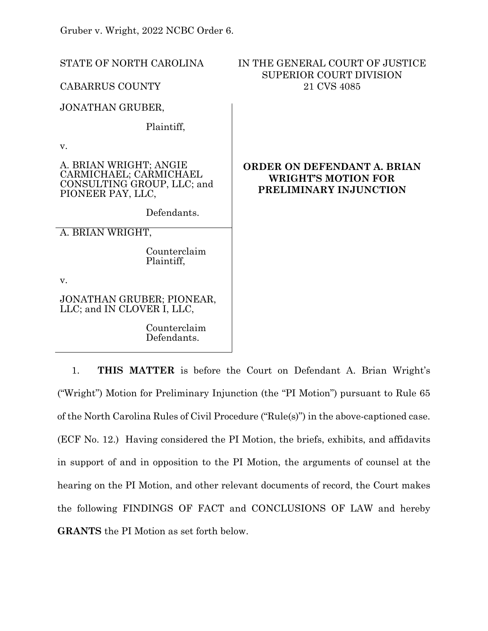Gruber v. Wright, 2022 NCBC Order 6.

| STATE OF NORTH CAROLINA                                                                             | IN THE GENERAL COURT OF JUSTICE<br><b>SUPERIOR COURT DIVISION</b><br>21 CVS 4085    |
|-----------------------------------------------------------------------------------------------------|-------------------------------------------------------------------------------------|
| <b>CABARRUS COUNTY</b>                                                                              |                                                                                     |
| <b>JONATHAN GRUBER,</b>                                                                             |                                                                                     |
| Plaintiff,                                                                                          |                                                                                     |
| V.                                                                                                  |                                                                                     |
| A. BRIAN WRIGHT; ANGIE<br>CARMICHAEL; CARMICHAEL<br>CONSULTING GROUP, LLC; and<br>PIONEER PAY, LLC, | ORDER ON DEFENDANT A. BRIAN<br><b>WRIGHT'S MOTION FOR</b><br>PRELIMINARY INJUNCTION |
| Defendants.                                                                                         |                                                                                     |
| A. BRIAN WRIGHT,                                                                                    |                                                                                     |
| Counterclaim<br>Plaintiff,                                                                          |                                                                                     |
| $V_{\rm}$                                                                                           |                                                                                     |
| JONATHAN GRUBER; PIONEAR,<br>LLC; and IN CLOVER I, LLC,                                             |                                                                                     |
| Counterclaim<br>Defendants.                                                                         |                                                                                     |

1. **THIS MATTER** is before the Court on Defendant A. Brian Wright's ("Wright") Motion for Preliminary Injunction (the "PI Motion") pursuant to Rule 65 of the North Carolina Rules of Civil Procedure ("Rule(s)") in the above-captioned case. (ECF No. 12.) Having considered the PI Motion, the briefs, exhibits, and affidavits in support of and in opposition to the PI Motion, the arguments of counsel at the hearing on the PI Motion, and other relevant documents of record, the Court makes the following FINDINGS OF FACT and CONCLUSIONS OF LAW and hereby **GRANTS** the PI Motion as set forth below.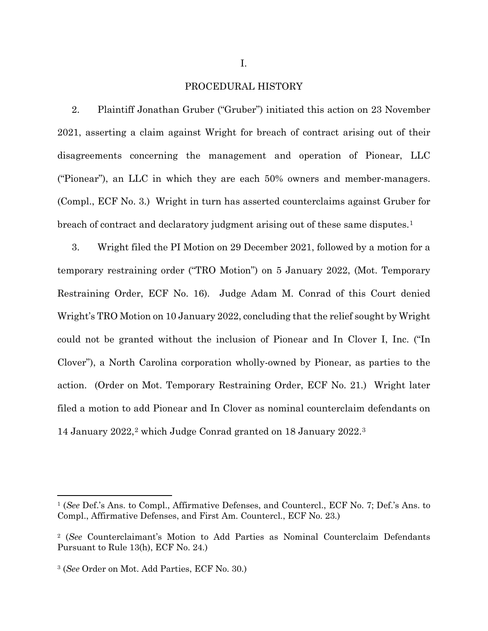## PROCEDURAL HISTORY

2. Plaintiff Jonathan Gruber ("Gruber") initiated this action on 23 November 2021, asserting a claim against Wright for breach of contract arising out of their disagreements concerning the management and operation of Pionear, LLC ("Pionear"), an LLC in which they are each 50% owners and member-managers. (Compl., ECF No. 3.) Wright in turn has asserted counterclaims against Gruber for breach of contract and declaratory judgment arising out of these same disputes.[1](#page-1-0) 

3. Wright filed the PI Motion on 29 December 2021, followed by a motion for a temporary restraining order ("TRO Motion") on 5 January 2022, (Mot. Temporary Restraining Order, ECF No. 16). Judge Adam M. Conrad of this Court denied Wright's TRO Motion on 10 January 2022, concluding that the relief sought by Wright could not be granted without the inclusion of Pionear and In Clover I, Inc. ("In Clover"), a North Carolina corporation wholly-owned by Pionear, as parties to the action. (Order on Mot. Temporary Restraining Order, ECF No. 21.) Wright later filed a motion to add Pionear and In Clover as nominal counterclaim defendants on 14 January [2](#page-1-1)022,<sup>2</sup> which Judge Conrad granted on 18 January 2022.<sup>3</sup>

<span id="page-1-0"></span><sup>1</sup> (*See* Def.'s Ans. to Compl., Affirmative Defenses, and Countercl., ECF No. 7; Def.'s Ans. to Compl., Affirmative Defenses, and First Am. Countercl., ECF No. 23.)

<span id="page-1-1"></span><sup>2</sup> (*See* Counterclaimant's Motion to Add Parties as Nominal Counterclaim Defendants Pursuant to Rule 13(h), ECF No. 24.)

<span id="page-1-2"></span><sup>3</sup> (*See* Order on Mot. Add Parties, ECF No. 30.)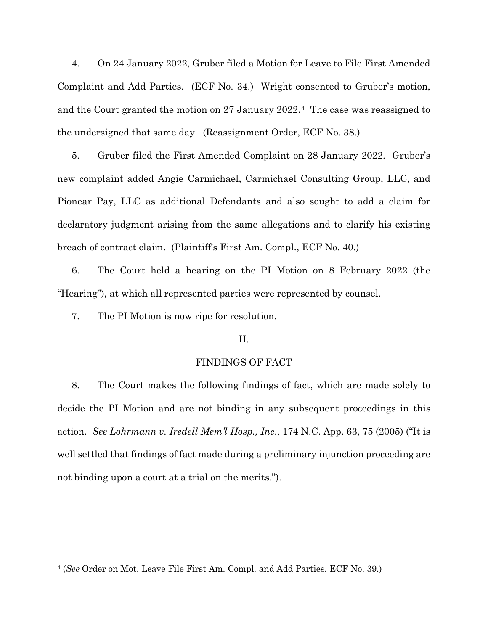4. On 24 January 2022, Gruber filed a Motion for Leave to File First Amended Complaint and Add Parties. (ECF No. 34.) Wright consented to Gruber's motion, and the Court granted the motion on 27 January 2022.[4](#page-2-0) The case was reassigned to the undersigned that same day. (Reassignment Order, ECF No. 38.)

5. Gruber filed the First Amended Complaint on 28 January 2022. Gruber's new complaint added Angie Carmichael, Carmichael Consulting Group, LLC, and Pionear Pay, LLC as additional Defendants and also sought to add a claim for declaratory judgment arising from the same allegations and to clarify his existing breach of contract claim. (Plaintiff's First Am. Compl., ECF No. 40.)

6. The Court held a hearing on the PI Motion on 8 February 2022 (the "Hearing"), at which all represented parties were represented by counsel.

7. The PI Motion is now ripe for resolution.

## II.

## FINDINGS OF FACT

8. The Court makes the following findings of fact, which are made solely to decide the PI Motion and are not binding in any subsequent proceedings in this action. *See Lohrmann v. Iredell Mem'l Hosp., Inc*., 174 N.C. App. 63, 75 (2005) ("It is well settled that findings of fact made during a preliminary injunction proceeding are not binding upon a court at a trial on the merits.").

<span id="page-2-0"></span><sup>4</sup> (*See* Order on Mot. Leave File First Am. Compl. and Add Parties, ECF No. 39.)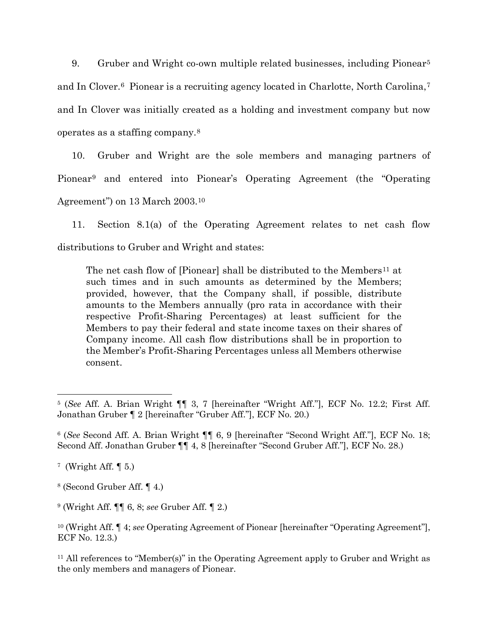9. Gruber and Wright co-own multiple related businesses, including Pionear<sup>[5](#page-3-0)</sup> and In Clover.<sup>[6](#page-3-1)</sup> Pionear is a recruiting agency located in Charlotte, North Carolina,<sup>[7](#page-3-2)</sup> and In Clover was initially created as a holding and investment company but now operates as a staffing company.[8](#page-3-3)

10. Gruber and Wright are the sole members and managing partners of Pionear[9](#page-3-4) and entered into Pionear's Operating Agreement (the "Operating Agreement") on 13 March 2003[.10](#page-3-5)

11. Section 8.1(a) of the Operating Agreement relates to net cash flow distributions to Gruber and Wright and states:

The net cash flow of [Pionear] shall be distributed to the Members<sup>[11](#page-3-6)</sup> at such times and in such amounts as determined by the Members; provided, however, that the Company shall, if possible, distribute amounts to the Members annually (pro rata in accordance with their respective Profit-Sharing Percentages) at least sufficient for the Members to pay their federal and state income taxes on their shares of Company income. All cash flow distributions shall be in proportion to the Member's Profit-Sharing Percentages unless all Members otherwise consent.

<span id="page-3-0"></span><sup>5</sup> (*See* Aff. A. Brian Wright ¶¶ 3, 7 [hereinafter "Wright Aff."], ECF No. 12.2; First Aff. Jonathan Gruber ¶ 2 [hereinafter "Gruber Aff."], ECF No. 20.)

<span id="page-3-1"></span><sup>6</sup> (*See* Second Aff. A. Brian Wright ¶¶ 6, 9 [hereinafter "Second Wright Aff."], ECF No. 18; Second Aff. Jonathan Gruber ¶¶ 4, 8 [hereinafter "Second Gruber Aff."], ECF No. 28.)

<span id="page-3-2"></span> $7$  (Wright Aff.  $\P$  5.)

<span id="page-3-3"></span><sup>8</sup> (Second Gruber Aff. ¶ 4.)

<span id="page-3-4"></span><sup>9</sup> (Wright Aff. ¶¶ 6, 8; *see* Gruber Aff. ¶ 2.)

<span id="page-3-5"></span><sup>10</sup> (Wright Aff. ¶ 4; *see* Operating Agreement of Pionear [hereinafter "Operating Agreement"], ECF No. 12.3.)

<span id="page-3-6"></span><sup>&</sup>lt;sup>11</sup> All references to "Member(s)" in the Operating Agreement apply to Gruber and Wright as the only members and managers of Pionear.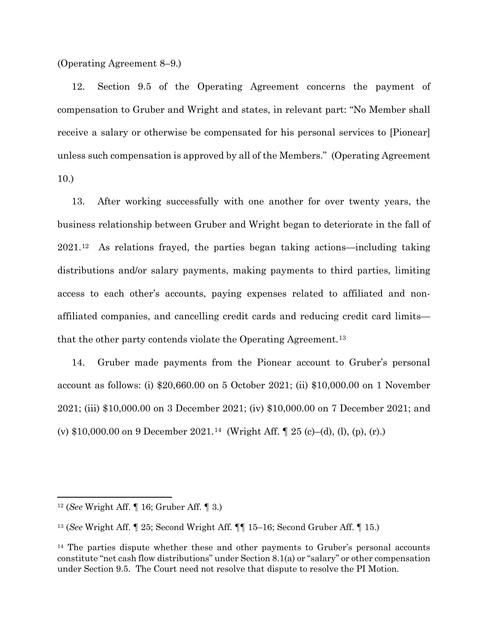(Operating Agreement 8–9.)

12. Section 9.5 of the Operating Agreement concerns the payment of compensation to Gruber and Wright and states, in relevant part: "No Member shall receive a salary or otherwise be compensated for his personal services to [Pionear] unless such compensation is approved by all of the Members." (Operating Agreement 10.)

13. After working successfully with one another for over twenty years, the business relationship between Gruber and Wright began to deteriorate in the fall of 2021.[12](#page-4-0) As relations frayed, the parties began taking actions—including taking distributions and/or salary payments, making payments to third parties, limiting access to each other's accounts, paying expenses related to affiliated and nonaffiliated companies, and cancelling credit cards and reducing credit card limits— that the other party contends violate the Operating Agreement.<sup>[13](#page-4-1)</sup>

14. Gruber made payments from the Pionear account to Gruber's personal account as follows: (i) \$20,660.00 on 5 October 2021; (ii) \$10,000.00 on 1 November 2021; (iii) \$10,000.00 on 3 December 2021; (iv) \$10,000.00 on 7 December 2021; and (v) \$10,000.00 on 9 December 2021.<sup>14</sup> (Wright Aff.  $\parallel$  25 (c)–(d), (l), (p), (r).)

<span id="page-4-0"></span><sup>12</sup> (*See* Wright Aff. ¶ 16; Gruber Aff. ¶ 3.)

<span id="page-4-1"></span><sup>13</sup> (*See* Wright Aff. ¶ 25; Second Wright Aff. ¶¶ 15–16; Second Gruber Aff. ¶ 15.)

<span id="page-4-2"></span><sup>&</sup>lt;sup>14</sup> The parties dispute whether these and other payments to Gruber's personal accounts constitute "net cash flow distributions" under Section 8.1(a) or "salary" or other compensation under Section 9.5. The Court need not resolve that dispute to resolve the PI Motion.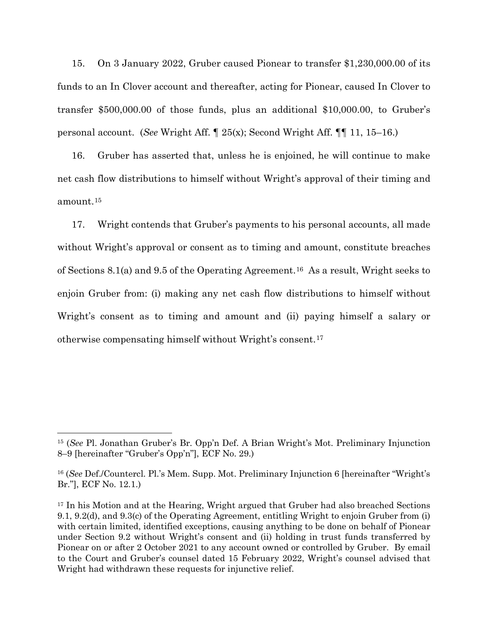15. On 3 January 2022, Gruber caused Pionear to transfer \$1,230,000.00 of its funds to an In Clover account and thereafter, acting for Pionear, caused In Clover to transfer \$500,000.00 of those funds, plus an additional \$10,000.00, to Gruber's personal account. (*See* Wright Aff. ¶ 25(x); Second Wright Aff. ¶¶ 11, 15–16.)

16. Gruber has asserted that, unless he is enjoined, he will continue to make net cash flow distributions to himself without Wright's approval of their timing and amount.[15](#page-5-0)

17. Wright contends that Gruber's payments to his personal accounts, all made without Wright's approval or consent as to timing and amount, constitute breaches of Sections 8.1(a) and 9.5 of the Operating Agreement.[16](#page-5-1) As a result, Wright seeks to enjoin Gruber from: (i) making any net cash flow distributions to himself without Wright's consent as to timing and amount and (ii) paying himself a salary or otherwise compensating himself without Wright's consent.[17](#page-5-2)

<span id="page-5-0"></span><sup>15</sup> (*See* Pl. Jonathan Gruber's Br. Opp'n Def. A Brian Wright's Mot. Preliminary Injunction 8–9 [hereinafter "Gruber's Opp'n"], ECF No. 29.)

<span id="page-5-1"></span><sup>16</sup> (*See* Def./Countercl. Pl.'s Mem. Supp. Mot. Preliminary Injunction 6 [hereinafter "Wright's Br."], ECF No. 12.1.)

<span id="page-5-2"></span><sup>&</sup>lt;sup>17</sup> In his Motion and at the Hearing, Wright argued that Gruber had also breached Sections 9.1, 9.2(d), and 9.3(c) of the Operating Agreement, entitling Wright to enjoin Gruber from (i) with certain limited, identified exceptions, causing anything to be done on behalf of Pionear under Section 9.2 without Wright's consent and (ii) holding in trust funds transferred by Pionear on or after 2 October 2021 to any account owned or controlled by Gruber. By email to the Court and Gruber's counsel dated 15 February 2022, Wright's counsel advised that Wright had withdrawn these requests for injunctive relief.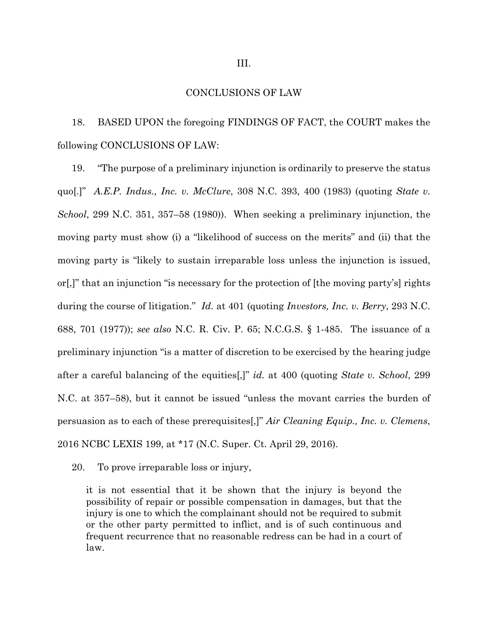## CONCLUSIONS OF LAW

18. BASED UPON the foregoing FINDINGS OF FACT, the COURT makes the following CONCLUSIONS OF LAW:

19. "The purpose of a preliminary injunction is ordinarily to preserve the status quo[.]" *A.E.P. Indus., Inc. v. McClure*, 308 N.C. 393, 400 (1983) (quoting *State v. School*, 299 N.C. 351, 357–58 (1980)). When seeking a preliminary injunction, the moving party must show (i) a "likelihood of success on the merits" and (ii) that the moving party is "likely to sustain irreparable loss unless the injunction is issued, or[,]" that an injunction "is necessary for the protection of [the moving party's] rights during the course of litigation." *Id.* at 401 (quoting *Investors, Inc. v. Berry*, 293 N.C. 688, 701 (1977)); *see also* N.C. R. Civ. P. 65; N.C.G.S. § 1-485. The issuance of a preliminary injunction "is a matter of discretion to be exercised by the hearing judge after a careful balancing of the equities[,]" *id.* at 400 (quoting *State v. School*, 299 N.C. at 357–58), but it cannot be issued "unless the movant carries the burden of persuasion as to each of these prerequisites[,]" *Air Cleaning Equip., Inc. v. Clemens*, 2016 NCBC LEXIS 199, at \*17 (N.C. Super. Ct. April 29, 2016).

20. To prove irreparable loss or injury,

it is not essential that it be shown that the injury is beyond the possibility of repair or possible compensation in damages, but that the injury is one to which the complainant should not be required to submit or the other party permitted to inflict, and is of such continuous and frequent recurrence that no reasonable redress can be had in a court of law.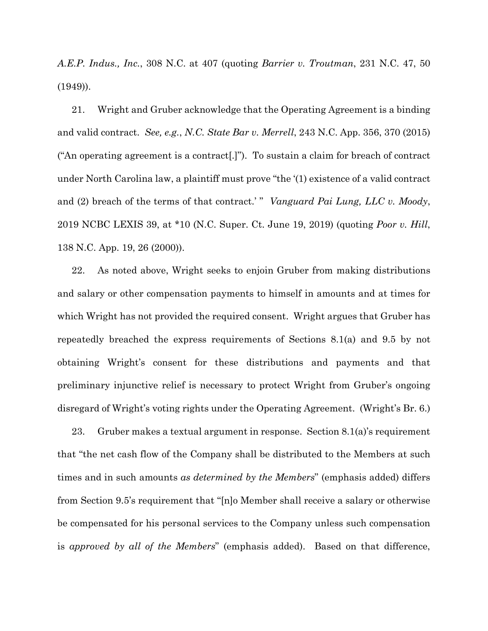*A.E.P. Indus., Inc.*, 308 N.C. at 407 (quoting *Barrier v. Troutman*, 231 N.C. 47, 50 (1949)).

21. Wright and Gruber acknowledge that the Operating Agreement is a binding and valid contract. *See, e.g.*, *N.C. State Bar v. Merrell*, 243 N.C. App. 356, 370 (2015) ("An operating agreement is a contract[.]"). To sustain a claim for breach of contract under North Carolina law, a plaintiff must prove "the '(1) existence of a valid contract and (2) breach of the terms of that contract.' " *Vanguard Pai Lung, LLC v. Moody*, 2019 NCBC LEXIS 39, at \*10 (N.C. Super. Ct. June 19, 2019) (quoting *Poor v. Hill*, 138 N.C. App. 19, 26 (2000)).

22. As noted above, Wright seeks to enjoin Gruber from making distributions and salary or other compensation payments to himself in amounts and at times for which Wright has not provided the required consent. Wright argues that Gruber has repeatedly breached the express requirements of Sections 8.1(a) and 9.5 by not obtaining Wright's consent for these distributions and payments and that preliminary injunctive relief is necessary to protect Wright from Gruber's ongoing disregard of Wright's voting rights under the Operating Agreement. (Wright's Br. 6.)

23. Gruber makes a textual argument in response. Section 8.1(a)'s requirement that "the net cash flow of the Company shall be distributed to the Members at such times and in such amounts *as determined by the Members*" (emphasis added) differs from Section 9.5's requirement that "[n]o Member shall receive a salary or otherwise be compensated for his personal services to the Company unless such compensation is *approved by all of the Members*" (emphasis added). Based on that difference,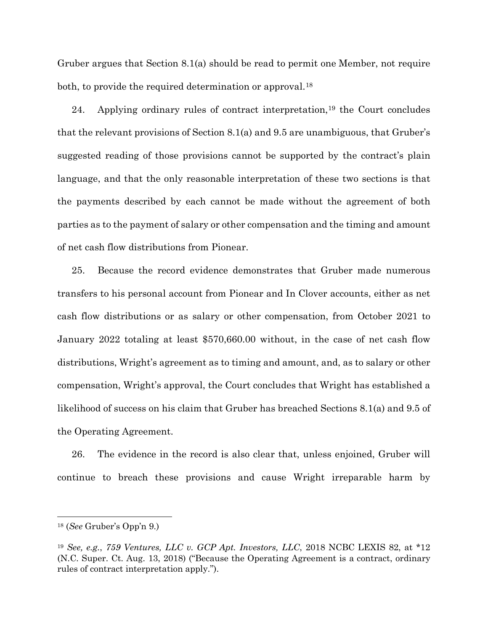Gruber argues that Section 8.1(a) should be read to permit one Member, not require both, to provide the required determination or approval.<sup>18</sup>

24. Applying ordinary rules of contract interpretation,[19](#page-8-1) the Court concludes that the relevant provisions of Section 8.1(a) and 9.5 are unambiguous, that Gruber's suggested reading of those provisions cannot be supported by the contract's plain language, and that the only reasonable interpretation of these two sections is that the payments described by each cannot be made without the agreement of both parties as to the payment of salary or other compensation and the timing and amount of net cash flow distributions from Pionear.

25. Because the record evidence demonstrates that Gruber made numerous transfers to his personal account from Pionear and In Clover accounts, either as net cash flow distributions or as salary or other compensation, from October 2021 to January 2022 totaling at least \$570,660.00 without, in the case of net cash flow distributions, Wright's agreement as to timing and amount, and, as to salary or other compensation, Wright's approval, the Court concludes that Wright has established a likelihood of success on his claim that Gruber has breached Sections 8.1(a) and 9.5 of the Operating Agreement.

26. The evidence in the record is also clear that, unless enjoined, Gruber will continue to breach these provisions and cause Wright irreparable harm by

<span id="page-8-0"></span><sup>18</sup> (*See* Gruber's Opp'n 9.)

<span id="page-8-1"></span><sup>19</sup> *See, e.g.*, *759 Ventures, LLC v. GCP Apt. Investors, LLC*, 2018 NCBC LEXIS 82, at \*12 (N.C. Super. Ct. Aug. 13, 2018) ("Because the Operating Agreement is a contract, ordinary rules of contract interpretation apply.").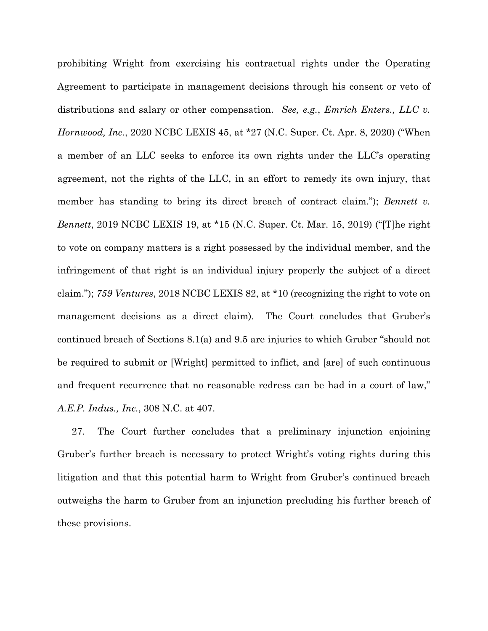prohibiting Wright from exercising his contractual rights under the Operating Agreement to participate in management decisions through his consent or veto of distributions and salary or other compensation. *See, e.g.*, *Emrich Enters., LLC v. Hornwood, Inc.*, 2020 NCBC LEXIS 45, at \*27 (N.C. Super. Ct. Apr. 8, 2020) ("When a member of an LLC seeks to enforce its own rights under the LLC's operating agreement, not the rights of the LLC, in an effort to remedy its own injury, that member has standing to bring its direct breach of contract claim."); *Bennett v. Bennett*, 2019 NCBC LEXIS 19, at \*15 (N.C. Super. Ct. Mar. 15, 2019) ("[T]he right to vote on company matters is a right possessed by the individual member, and the infringement of that right is an individual injury properly the subject of a direct claim."); *759 Ventures*, 2018 NCBC LEXIS 82, at \*10 (recognizing the right to vote on management decisions as a direct claim). The Court concludes that Gruber's continued breach of Sections 8.1(a) and 9.5 are injuries to which Gruber "should not be required to submit or [Wright] permitted to inflict, and [are] of such continuous and frequent recurrence that no reasonable redress can be had in a court of law," *A.E.P. Indus., Inc.*, 308 N.C. at 407.

27. The Court further concludes that a preliminary injunction enjoining Gruber's further breach is necessary to protect Wright's voting rights during this litigation and that this potential harm to Wright from Gruber's continued breach outweighs the harm to Gruber from an injunction precluding his further breach of these provisions.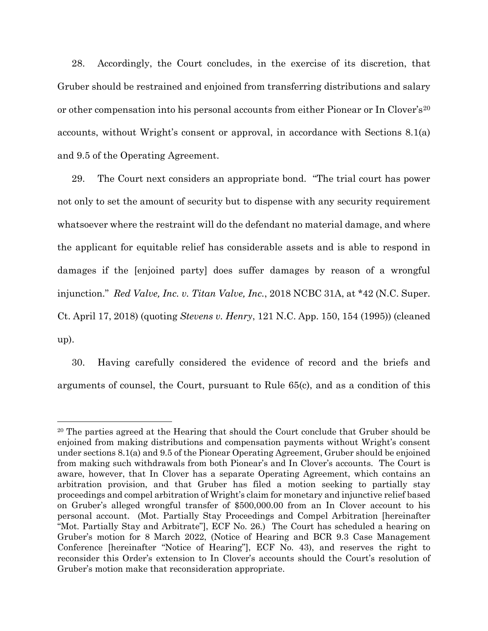28. Accordingly, the Court concludes, in the exercise of its discretion, that Gruber should be restrained and enjoined from transferring distributions and salary or other compensation into his personal accounts from either Pionear or In Clover's[20](#page-10-0) accounts, without Wright's consent or approval, in accordance with Sections 8.1(a) and 9.5 of the Operating Agreement.

29. The Court next considers an appropriate bond. "The trial court has power not only to set the amount of security but to dispense with any security requirement whatsoever where the restraint will do the defendant no material damage, and where the applicant for equitable relief has considerable assets and is able to respond in damages if the [enjoined party] does suffer damages by reason of a wrongful injunction." *Red Valve, Inc. v. Titan Valve, Inc.*, 2018 NCBC 31A, at \*42 (N.C. Super. Ct. April 17, 2018) (quoting *Stevens v. Henry*, 121 N.C. App. 150, 154 (1995)) (cleaned up).

30. Having carefully considered the evidence of record and the briefs and arguments of counsel, the Court, pursuant to Rule 65(c), and as a condition of this

<span id="page-10-0"></span><sup>&</sup>lt;sup>20</sup> The parties agreed at the Hearing that should the Court conclude that Gruber should be enjoined from making distributions and compensation payments without Wright's consent under sections 8.1(a) and 9.5 of the Pionear Operating Agreement, Gruber should be enjoined from making such withdrawals from both Pionear's and In Clover's accounts. The Court is aware, however, that In Clover has a separate Operating Agreement, which contains an arbitration provision, and that Gruber has filed a motion seeking to partially stay proceedings and compel arbitration of Wright's claim for monetary and injunctive relief based on Gruber's alleged wrongful transfer of \$500,000.00 from an In Clover account to his personal account. (Mot. Partially Stay Proceedings and Compel Arbitration [hereinafter "Mot. Partially Stay and Arbitrate"], ECF No. 26.) The Court has scheduled a hearing on Gruber's motion for 8 March 2022, (Notice of Hearing and BCR 9.3 Case Management Conference [hereinafter "Notice of Hearing"], ECF No. 43), and reserves the right to reconsider this Order's extension to In Clover's accounts should the Court's resolution of Gruber's motion make that reconsideration appropriate.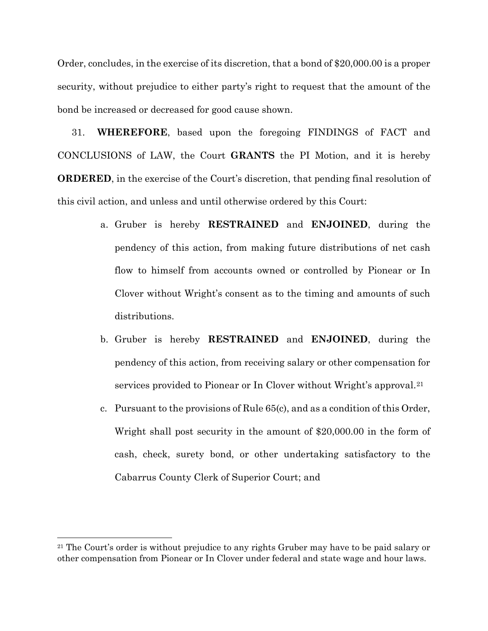Order, concludes, in the exercise of its discretion, that a bond of \$20,000.00 is a proper security, without prejudice to either party's right to request that the amount of the bond be increased or decreased for good cause shown.

31. **WHEREFORE**, based upon the foregoing FINDINGS of FACT and CONCLUSIONS of LAW, the Court **GRANTS** the PI Motion, and it is hereby **ORDERED**, in the exercise of the Court's discretion, that pending final resolution of this civil action, and unless and until otherwise ordered by this Court:

- a. Gruber is hereby **RESTRAINED** and **ENJOINED**, during the pendency of this action, from making future distributions of net cash flow to himself from accounts owned or controlled by Pionear or In Clover without Wright's consent as to the timing and amounts of such distributions.
- b. Gruber is hereby **RESTRAINED** and **ENJOINED**, during the pendency of this action, from receiving salary or other compensation for services provided to Pionear or In Clover without Wright's approval.[21](#page-11-0)
- c. Pursuant to the provisions of Rule 65(c), and as a condition of this Order, Wright shall post security in the amount of \$20,000.00 in the form of cash, check, surety bond, or other undertaking satisfactory to the Cabarrus County Clerk of Superior Court; and

<span id="page-11-0"></span><sup>&</sup>lt;sup>21</sup> The Court's order is without prejudice to any rights Gruber may have to be paid salary or other compensation from Pionear or In Clover under federal and state wage and hour laws.